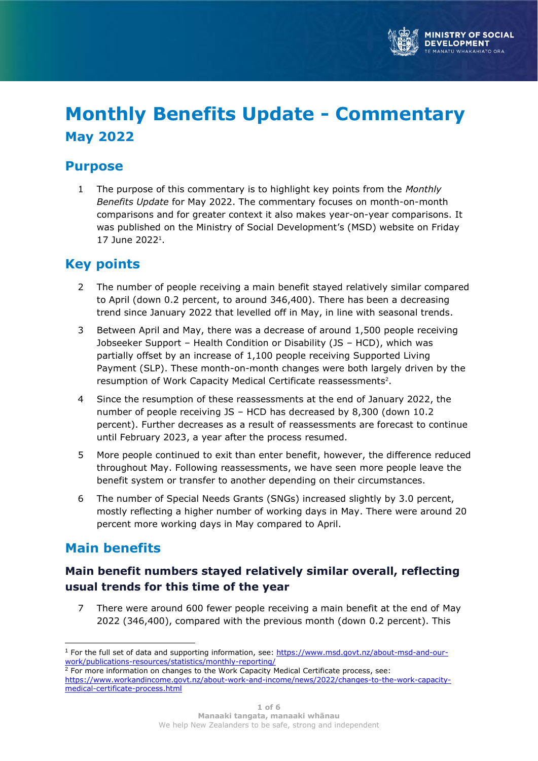

# **Monthly Benefits Update - Commentary May 2022**

# **Purpose**

1 The purpose of this commentary is to highlight key points from the *Monthly Benefits Update* for May 2022. The commentary focuses on month-on-month comparisons and for greater context it also makes year-on-year comparisons. It was published on the Ministry of Social Development's (MSD) website on Friday 17 June 2022<sup>1</sup>.

# **Key points**

- 2 The number of people receiving a main benefit stayed relatively similar compared to April (down 0.2 percent, to around 346,400). There has been a decreasing trend since January 2022 that levelled off in May, in line with seasonal trends.
- 3 Between April and May, there was a decrease of around 1,500 people receiving Jobseeker Support – Health Condition or Disability (JS – HCD), which was partially offset by an increase of 1,100 people receiving Supported Living Payment (SLP). These month-on-month changes were both largely driven by the resumption of Work Capacity Medical Certificate reassessments<sup>2</sup>.
- 4 Since the resumption of these reassessments at the end of January 2022, the number of people receiving JS – HCD has decreased by 8,300 (down 10.2 percent). Further decreases as a result of reassessments are forecast to continue until February 2023, a year after the process resumed.
- 5 More people continued to exit than enter benefit, however, the difference reduced throughout May. Following reassessments, we have seen more people leave the benefit system or transfer to another depending on their circumstances.
- 6 The number of Special Needs Grants (SNGs) increased slightly by 3.0 percent, mostly reflecting a higher number of working days in May. There were around 20 percent more working days in May compared to April.

# **Main benefits**

# **Main benefit numbers stayed relatively similar overall, reflecting usual trends for this time of the year**

7 There were around 600 fewer people receiving a main benefit at the end of May 2022 (346,400), compared with the previous month (down 0.2 percent). This

<sup>&</sup>lt;sup>1</sup> For the full set of data and supporting information, see: [https://www.msd.govt.nz/about-msd-and-our](https://www.msd.govt.nz/about-msd-and-our-work/publications-resources/statistics/monthly-reporting/)[work/publications-resources/statistics/monthly-reporting/](https://www.msd.govt.nz/about-msd-and-our-work/publications-resources/statistics/monthly-reporting/) 

<sup>&</sup>lt;sup>2</sup> For more information on changes to the Work Capacity Medical Certificate process, see: [https://www.workandincome.govt.nz/about-work-and-income/news/2022/changes-to-the-work-capacity](https://www.workandincome.govt.nz/about-work-and-income/news/2022/changes-to-the-work-capacity-medical-certificate-process.html)[medical-certificate-process.html](https://www.workandincome.govt.nz/about-work-and-income/news/2022/changes-to-the-work-capacity-medical-certificate-process.html)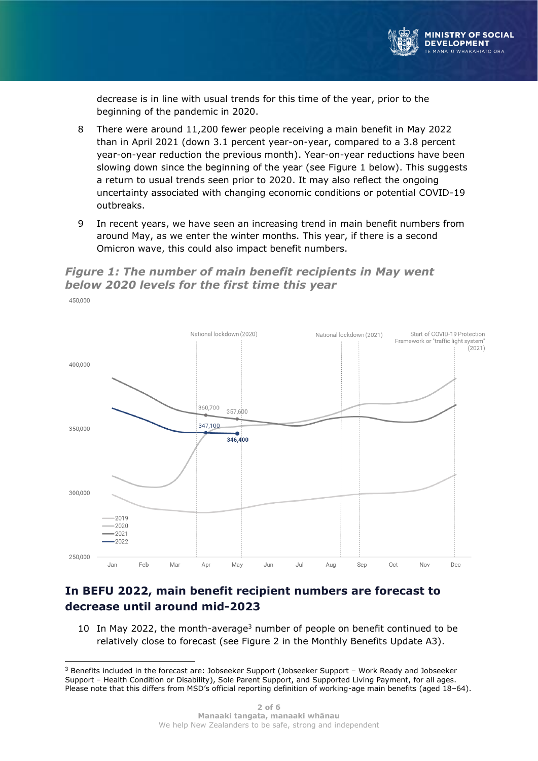

decrease is in line with usual trends for this time of the year, prior to the beginning of the pandemic in 2020.

- 8 There were around 11,200 fewer people receiving a main benefit in May 2022 than in April 2021 (down 3.1 percent year-on-year, compared to a 3.8 percent year-on-year reduction the previous month). Year-on-year reductions have been slowing down since the beginning of the year (see Figure 1 below). This suggests a return to usual trends seen prior to 2020. It may also reflect the ongoing uncertainty associated with changing economic conditions or potential COVID-19 outbreaks.
- 9 In recent years, we have seen an increasing trend in main benefit numbers from around May, as we enter the winter months. This year, if there is a second Omicron wave, this could also impact benefit numbers.

### *Figure 1: The number of main benefit recipients in May went below 2020 levels for the first time this year*



### **In BEFU 2022, main benefit recipient numbers are forecast to decrease until around mid-2023**

10 In May 2022, the month-average<sup>3</sup> number of people on benefit continued to be relatively close to forecast (see Figure 2 in the Monthly Benefits Update A3).

<sup>3</sup> Benefits included in the forecast are: Jobseeker Support (Jobseeker Support – Work Ready and Jobseeker Support – Health Condition or Disability), Sole Parent Support, and Supported Living Payment, for all ages. Please note that this differs from MSD's official reporting definition of working-age main benefits (aged 18–64).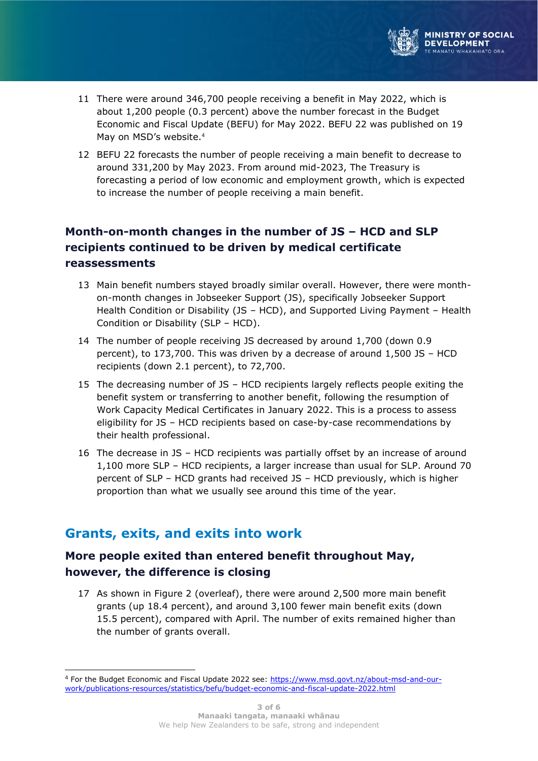

- 11 There were around 346,700 people receiving a benefit in May 2022, which is about 1,200 people (0.3 percent) above the number forecast in the Budget Economic and Fiscal Update (BEFU) for May 2022. BEFU 22 was published on 19 May on MSD's website. 4
- 12 BEFU 22 forecasts the number of people receiving a main benefit to decrease to around 331,200 by May 2023. From around mid-2023, The Treasury is forecasting a period of low economic and employment growth, which is expected to increase the number of people receiving a main benefit.

# **Month-on-month changes in the number of JS – HCD and SLP recipients continued to be driven by medical certificate reassessments**

- 13 Main benefit numbers stayed broadly similar overall. However, there were monthon-month changes in Jobseeker Support (JS), specifically Jobseeker Support Health Condition or Disability (JS – HCD), and Supported Living Payment – Health Condition or Disability (SLP – HCD).
- 14 The number of people receiving JS decreased by around 1,700 (down 0.9 percent), to 173,700. This was driven by a decrease of around 1,500 JS – HCD recipients (down 2.1 percent), to 72,700.
- 15 The decreasing number of JS HCD recipients largely reflects people exiting the benefit system or transferring to another benefit, following the resumption of Work Capacity Medical Certificates in January 2022. This is a process to assess eligibility for JS – HCD recipients based on case-by-case recommendations by their health professional.
- 16 The decrease in JS HCD recipients was partially offset by an increase of around 1,100 more SLP – HCD recipients, a larger increase than usual for SLP. Around 70 percent of SLP – HCD grants had received JS – HCD previously, which is higher proportion than what we usually see around this time of the year.

# **Grants, exits, and exits into work**

### **More people exited than entered benefit throughout May, however, the difference is closing**

17 As shown in Figure 2 (overleaf), there were around 2,500 more main benefit grants (up 18.4 percent), and around 3,100 fewer main benefit exits (down 15.5 percent), compared with April. The number of exits remained higher than the number of grants overall.

<sup>4</sup> For the Budget Economic and Fiscal Update 2022 see: [https://www.msd.govt.nz/about-msd-and-our](https://www.msd.govt.nz/about-msd-and-our-work/publications-resources/statistics/befu/budget-economic-and-fiscal-update-2022.html)[work/publications-resources/statistics/befu/budget-economic-and-fiscal-update-2022.html](https://www.msd.govt.nz/about-msd-and-our-work/publications-resources/statistics/befu/budget-economic-and-fiscal-update-2022.html)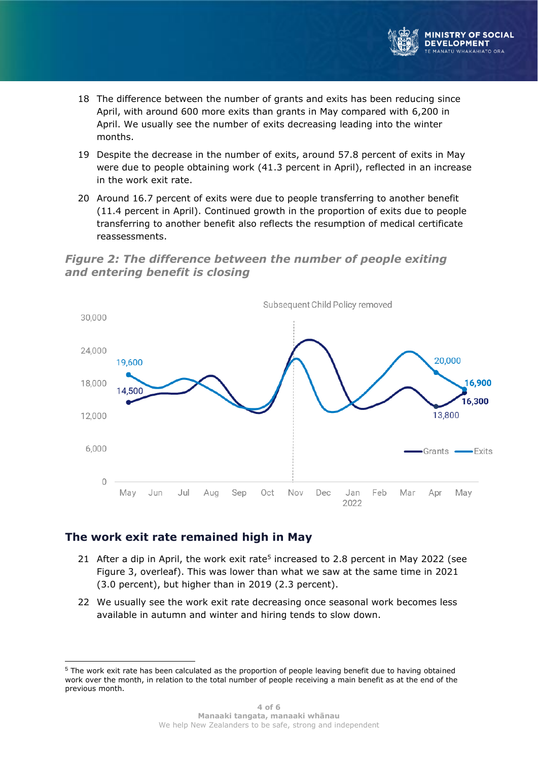

- 18 The difference between the number of grants and exits has been reducing since April, with around 600 more exits than grants in May compared with 6,200 in April. We usually see the number of exits decreasing leading into the winter months.
- 19 Despite the decrease in the number of exits, around 57.8 percent of exits in May were due to people obtaining work (41.3 percent in April), reflected in an increase in the work exit rate.
- 20 Around 16.7 percent of exits were due to people transferring to another benefit (11.4 percent in April). Continued growth in the proportion of exits due to people transferring to another benefit also reflects the resumption of medical certificate reassessments.

#### *Figure 2: The difference between the number of people exiting and entering benefit is closing*



### **The work exit rate remained high in May**

- 21 After a dip in April, the work exit rate<sup>5</sup> increased to 2.8 percent in May 2022 (see Figure 3, overleaf). This was lower than what we saw at the same time in 2021 (3.0 percent), but higher than in 2019 (2.3 percent).
- 22 We usually see the work exit rate decreasing once seasonal work becomes less available in autumn and winter and hiring tends to slow down.

<sup>5</sup> The work exit rate has been calculated as the proportion of people leaving benefit due to having obtained work over the month, in relation to the total number of people receiving a main benefit as at the end of the previous month.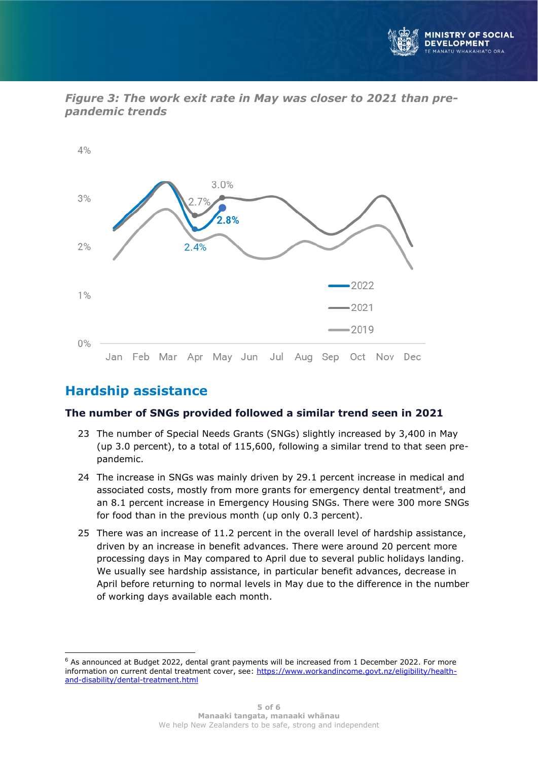





# **Hardship assistance**

#### **The number of SNGs provided followed a similar trend seen in 2021**

- 23 The number of Special Needs Grants (SNGs) slightly increased by 3,400 in May (up 3.0 percent), to a total of 115,600, following a similar trend to that seen prepandemic.
- 24 The increase in SNGs was mainly driven by 29.1 percent increase in medical and associated costs, mostly from more grants for emergency dental treatment<sup>6</sup>, and an 8.1 percent increase in Emergency Housing SNGs. There were 300 more SNGs for food than in the previous month (up only 0.3 percent).
- 25 There was an increase of 11.2 percent in the overall level of hardship assistance, driven by an increase in benefit advances. There were around 20 percent more processing days in May compared to April due to several public holidays landing. We usually see hardship assistance, in particular benefit advances, decrease in April before returning to normal levels in May due to the difference in the number of working days available each month.

 $6$  As announced at Budget 2022, dental grant payments will be increased from 1 December 2022. For more information on current dental treatment cover, see: [https://www.workandincome.govt.nz/eligibility/health](https://www.workandincome.govt.nz/eligibility/health-and-disability/dental-treatment.html)[and-disability/dental-treatment.html](https://www.workandincome.govt.nz/eligibility/health-and-disability/dental-treatment.html)